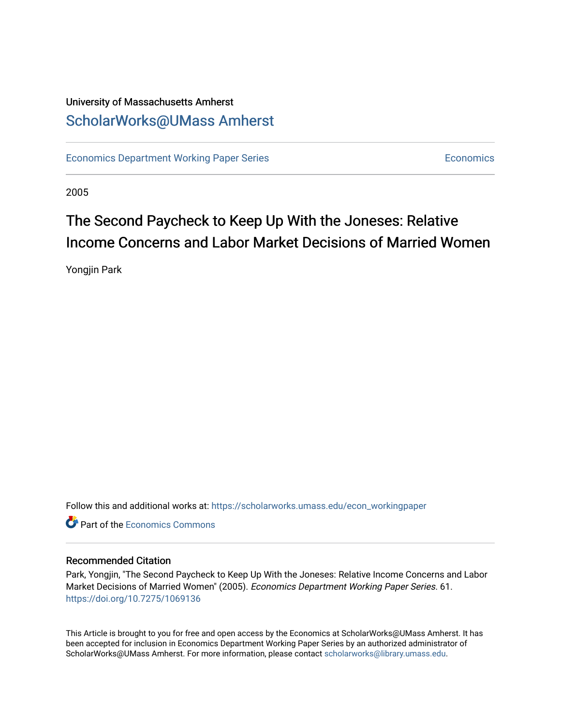### University of Massachusetts Amherst [ScholarWorks@UMass Amherst](https://scholarworks.umass.edu/)

[Economics Department Working Paper Series](https://scholarworks.umass.edu/econ_workingpaper) **Economics** [Economics](https://scholarworks.umass.edu/economics) Economics

2005

## The Second Paycheck to Keep Up With the Joneses: Relative Income Concerns and Labor Market Decisions of Married Women

Yongjin Park

Follow this and additional works at: [https://scholarworks.umass.edu/econ\\_workingpaper](https://scholarworks.umass.edu/econ_workingpaper?utm_source=scholarworks.umass.edu%2Fecon_workingpaper%2F61&utm_medium=PDF&utm_campaign=PDFCoverPages) 

**C** Part of the [Economics Commons](http://network.bepress.com/hgg/discipline/340?utm_source=scholarworks.umass.edu%2Fecon_workingpaper%2F61&utm_medium=PDF&utm_campaign=PDFCoverPages)

#### Recommended Citation

Park, Yongjin, "The Second Paycheck to Keep Up With the Joneses: Relative Income Concerns and Labor Market Decisions of Married Women" (2005). Economics Department Working Paper Series. 61. <https://doi.org/10.7275/1069136>

This Article is brought to you for free and open access by the Economics at ScholarWorks@UMass Amherst. It has been accepted for inclusion in Economics Department Working Paper Series by an authorized administrator of ScholarWorks@UMass Amherst. For more information, please contact [scholarworks@library.umass.edu.](mailto:scholarworks@library.umass.edu)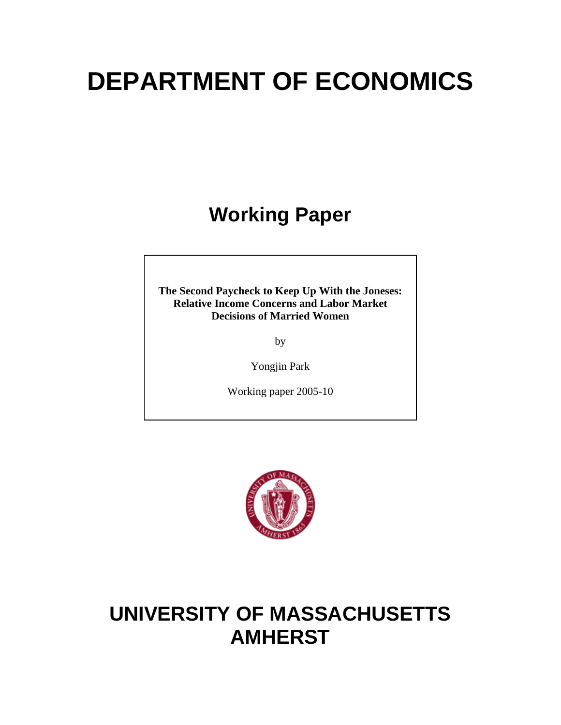# **DEPARTMENT OF ECONOMICS**

# **Working Paper**

**The Second Paycheck to Keep Up With the Joneses: Relative Income Concerns and Labor Market Decisions of Married Women** 

by

Yongjin Park

Working paper 2005-10



# **UNIVERSITY OF MASSACHUSETTS AMHERST**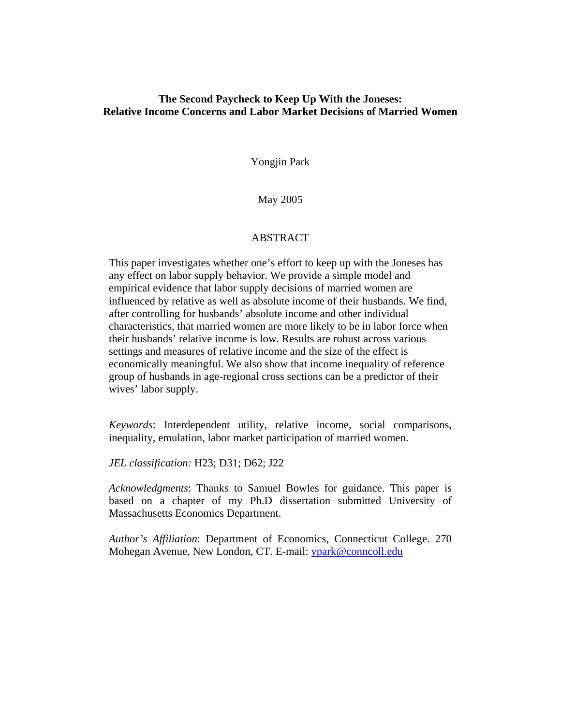#### **The Second Paycheck to Keep Up With the Joneses: Relative Income Concerns and Labor Market Decisions of Married Women**

Yongjin Park

May 2005

#### ABSTRACT

This paper investigates whether one's effort to keep up with the Joneses has any effect on labor supply behavior. We provide a simple model and empirical evidence that labor supply decisions of married women are influenced by relative as well as absolute income of their husbands. We find, after controlling for husbands' absolute income and other individual characteristics, that married women are more likely to be in labor force when their husbands' relative income is low. Results are robust across various settings and measures of relative income and the size of the effect is economically meaningful. We also show that income inequality of reference group of husbands in age-regional cross sections can be a predictor of their wives' labor supply.

*Keywords*: Interdependent utility, relative income, social comparisons, inequality, emulation, labor market participation of married women.

*JEL classification:* H23; D31; D62; J22

*Acknowledgments*: Thanks to Samuel Bowles for guidance. This paper is based on a chapter of my Ph.D dissertation submitted University of Massachusetts Economics Department.

*Author's Affiliation*: Department of Economics, Connecticut College. 270 Mohegan Avenue, New London, CT. E-mail: ypark@conncoll.edu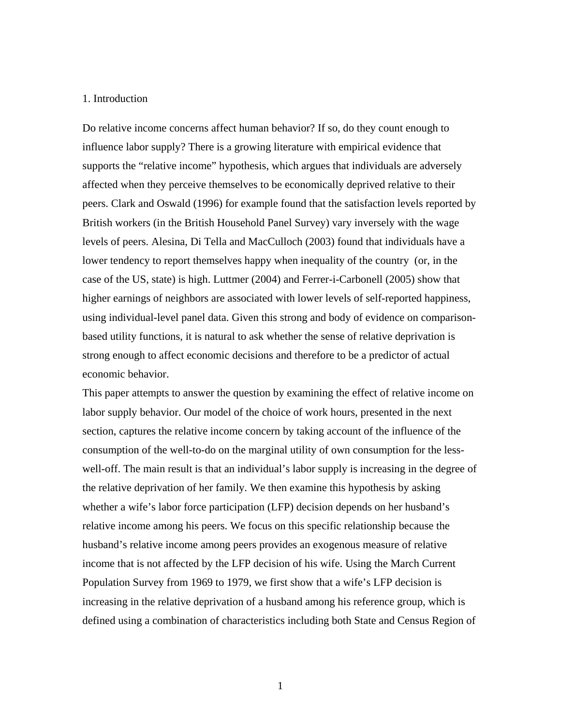#### 1. Introduction

Do relative income concerns affect human behavior? If so, do they count enough to influence labor supply? There is a growing literature with empirical evidence that supports the "relative income" hypothesis, which argues that individuals are adversely affected when they perceive themselves to be economically deprived relative to their peers. Clark and Oswald (1996) for example found that the satisfaction levels reported by British workers (in the British Household Panel Survey) vary inversely with the wage levels of peers. Alesina, Di Tella and MacCulloch (2003) found that individuals have a lower tendency to report themselves happy when inequality of the country (or, in the case of the US, state) is high. Luttmer (2004) and Ferrer-i-Carbonell (2005) show that higher earnings of neighbors are associated with lower levels of self-reported happiness, using individual-level panel data. Given this strong and body of evidence on comparisonbased utility functions, it is natural to ask whether the sense of relative deprivation is strong enough to affect economic decisions and therefore to be a predictor of actual economic behavior.

This paper attempts to answer the question by examining the effect of relative income on labor supply behavior. Our model of the choice of work hours, presented in the next section, captures the relative income concern by taking account of the influence of the consumption of the well-to-do on the marginal utility of own consumption for the lesswell-off. The main result is that an individual's labor supply is increasing in the degree of the relative deprivation of her family. We then examine this hypothesis by asking whether a wife's labor force participation (LFP) decision depends on her husband's relative income among his peers. We focus on this specific relationship because the husband's relative income among peers provides an exogenous measure of relative income that is not affected by the LFP decision of his wife. Using the March Current Population Survey from 1969 to 1979, we first show that a wife's LFP decision is increasing in the relative deprivation of a husband among his reference group, which is defined using a combination of characteristics including both State and Census Region of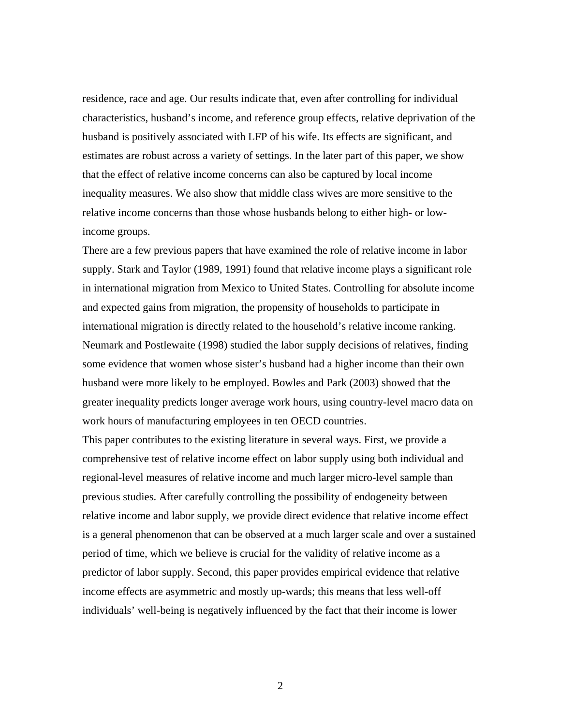residence, race and age. Our results indicate that, even after controlling for individual characteristics, husband's income, and reference group effects, relative deprivation of the husband is positively associated with LFP of his wife. Its effects are significant, and estimates are robust across a variety of settings. In the later part of this paper, we show that the effect of relative income concerns can also be captured by local income inequality measures. We also show that middle class wives are more sensitive to the relative income concerns than those whose husbands belong to either high- or lowincome groups.

There are a few previous papers that have examined the role of relative income in labor supply. Stark and Taylor (1989, 1991) found that relative income plays a significant role in international migration from Mexico to United States. Controlling for absolute income and expected gains from migration, the propensity of households to participate in international migration is directly related to the household's relative income ranking. Neumark and Postlewaite (1998) studied the labor supply decisions of relatives, finding some evidence that women whose sister's husband had a higher income than their own husband were more likely to be employed. Bowles and Park (2003) showed that the greater inequality predicts longer average work hours, using country-level macro data on work hours of manufacturing employees in ten OECD countries.

This paper contributes to the existing literature in several ways. First, we provide a comprehensive test of relative income effect on labor supply using both individual and regional-level measures of relative income and much larger micro-level sample than previous studies. After carefully controlling the possibility of endogeneity between relative income and labor supply, we provide direct evidence that relative income effect is a general phenomenon that can be observed at a much larger scale and over a sustained period of time, which we believe is crucial for the validity of relative income as a predictor of labor supply. Second, this paper provides empirical evidence that relative income effects are asymmetric and mostly up-wards; this means that less well-off individuals' well-being is negatively influenced by the fact that their income is lower

2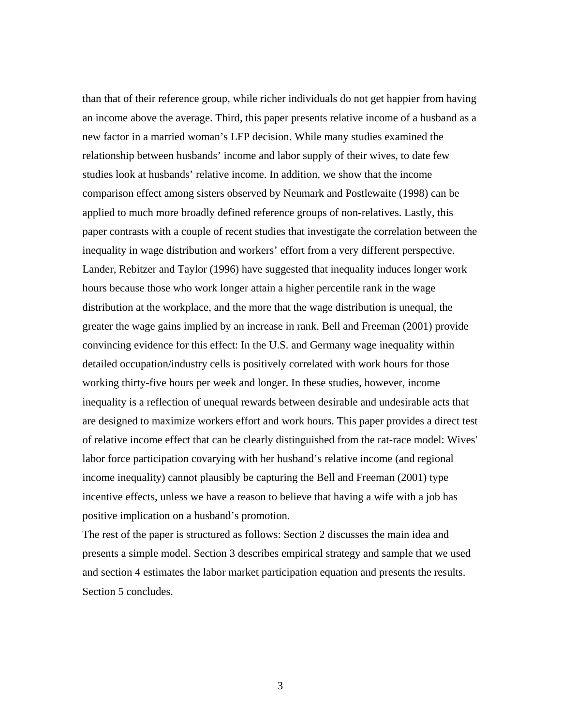than that of their reference group, while richer individuals do not get happier from having an income above the average. Third, this paper presents relative income of a husband as a new factor in a married woman's LFP decision. While many studies examined the relationship between husbands' income and labor supply of their wives, to date few studies look at husbands' relative income. In addition, we show that the income comparison effect among sisters observed by Neumark and Postlewaite (1998) can be applied to much more broadly defined reference groups of non-relatives. Lastly, this paper contrasts with a couple of recent studies that investigate the correlation between the inequality in wage distribution and workers' effort from a very different perspective. Lander, Rebitzer and Taylor (1996) have suggested that inequality induces longer work hours because those who work longer attain a higher percentile rank in the wage distribution at the workplace, and the more that the wage distribution is unequal, the greater the wage gains implied by an increase in rank. Bell and Freeman (2001) provide convincing evidence for this effect: In the U.S. and Germany wage inequality within detailed occupation/industry cells is positively correlated with work hours for those working thirty-five hours per week and longer. In these studies, however, income inequality is a reflection of unequal rewards between desirable and undesirable acts that are designed to maximize workers effort and work hours. This paper provides a direct test of relative income effect that can be clearly distinguished from the rat-race model: Wives' labor force participation covarying with her husband's relative income (and regional income inequality) cannot plausibly be capturing the Bell and Freeman (2001) type incentive effects, unless we have a reason to believe that having a wife with a job has positive implication on a husband's promotion.

The rest of the paper is structured as follows: Section 2 discusses the main idea and presents a simple model. Section 3 describes empirical strategy and sample that we used and section 4 estimates the labor market participation equation and presents the results. Section 5 concludes.

3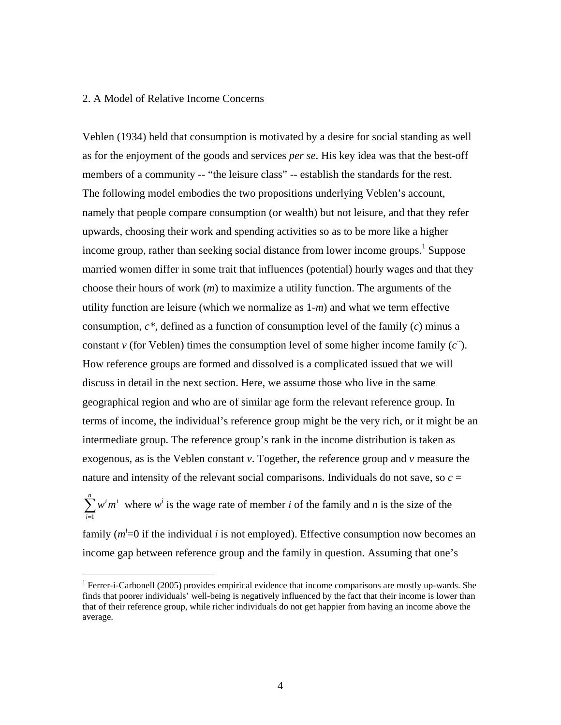#### 2. A Model of Relative Income Concerns

 $\overline{a}$ 

Veblen (1934) held that consumption is motivated by a desire for social standing as well as for the enjoyment of the goods and services *per se*. His key idea was that the best-off members of a community -- "the leisure class" -- establish the standards for the rest. The following model embodies the two propositions underlying Veblen's account, namely that people compare consumption (or wealth) but not leisure, and that they refer upwards, choosing their work and spending activities so as to be more like a higher income group, rather than seeking social distance from lower income groups.<sup>1</sup> Suppose married women differ in some trait that influences (potential) hourly wages and that they choose their hours of work (*m*) to maximize a utility function. The arguments of the utility function are leisure (which we normalize as 1-*m*) and what we term effective consumption, *c\**, defined as a function of consumption level of the family (*c*) minus a constant *v* (for Veblen) times the consumption level of some higher income family  $(c^{\tilde{}})$ . How reference groups are formed and dissolved is a complicated issued that we will discuss in detail in the next section. Here, we assume those who live in the same geographical region and who are of similar age form the relevant reference group. In terms of income, the individual's reference group might be the very rich, or it might be an intermediate group. The reference group's rank in the income distribution is taken as exogenous, as is the Veblen constant *v*. Together, the reference group and *v* measure the nature and intensity of the relevant social comparisons. Individuals do not save, so  $c =$ 

 $\sum_{i=1}^{n} w^{i} m^{i}$  where  $w^{i}$  is the wage rate of member *i* of the family and *n* is the size of the *i* 1

family  $(m^i=0)$  if the individual *i* is not employed). Effective consumption now becomes an income gap between reference group and the family in question. Assuming that one's

<sup>&</sup>lt;sup>1</sup> Ferrer-i-Carbonell (2005) provides empirical evidence that income comparisons are mostly up-wards. She finds that poorer individuals' well-being is negatively influenced by the fact that their income is lower than that of their reference group, while richer individuals do not get happier from having an income above the average.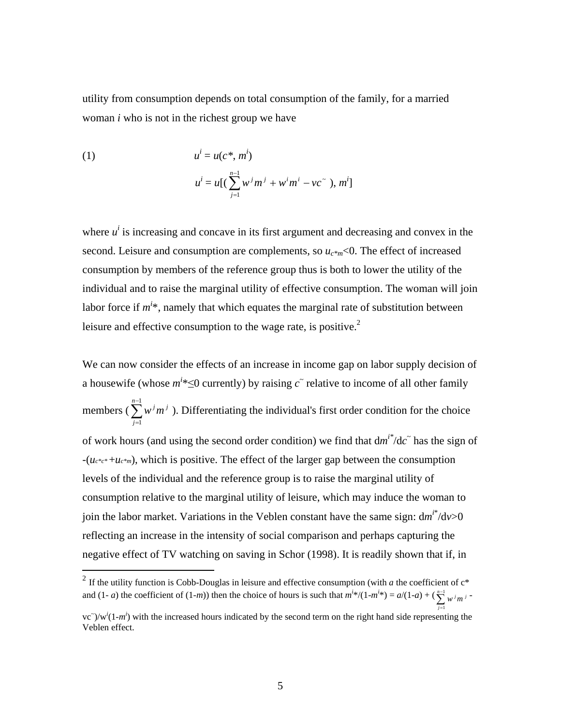utility from consumption depends on total consumption of the family, for a married woman *i* who is not in the richest group we have

(1) 
$$
u^{i} = u(c^{*}, m^{i})
$$

$$
u^{i} = u[(\sum_{j=1}^{n-1} w^{j} m^{j} + w^{i} m^{i} - vc^{*}), m^{i}]
$$

where  $u^i$  is increasing and concave in its first argument and decreasing and convex in the second. Leisure and consumption are complements, so  $u_{c^*m}$ <0. The effect of increased consumption by members of the reference group thus is both to lower the utility of the individual and to raise the marginal utility of effective consumption. The woman will join labor force if  $m^{i*}$ , namely that which equates the marginal rate of substitution between leisure and effective consumption to the wage rate, is positive.<sup>2</sup>

We can now consider the effects of an increase in income gap on labor supply decision of a housewife (whose  $m^{i*} \le 0$  currently) by raising  $c^{\sim}$  relative to income of all other family members ( $\sum_{n=1}^{\infty}$ = 1 1 *n j*  $w^{j}m^{j}$ ). Differentiating the individual's first order condition for the choice of work hours (and using the second order condition) we find that  $dm^{i*}/dc^{\dagger}$  has the sign of -(*uc\*c\** +*uc\*m*), which is positive. The effect of the larger gap between the consumption levels of the individual and the reference group is to raise the marginal utility of consumption relative to the marginal utility of leisure, which may induce the woman to join the labor market. Variations in the Veblen constant have the same sign:  $dm^{i*}/dv>0$ reflecting an increase in the intensity of social comparison and perhaps capturing the negative effect of TV watching on saving in Schor (1998). It is readily shown that if, in

 $\overline{a}$ 

=

1

<sup>&</sup>lt;sup>2</sup> If the utility function is Cobb-Douglas in leisure and effective consumption (with *a* the coefficient of  $c^*$ and  $(1-a)$  the coefficient of  $(1-m)$ ) then the choice of hours is such that  $m^{i*}/(1-m^{i*}) = a/(1-a) + (\sum_{n=1}^{n-1} a)^n$ 1 *n*  $\sum_{j=1}^{n-1} w^{j} m^{j}$  =

 $\langle v \rangle / w^{i} (1-m^{i})$  with the increased hours indicated by the second term on the right hand side representing the Veblen effect.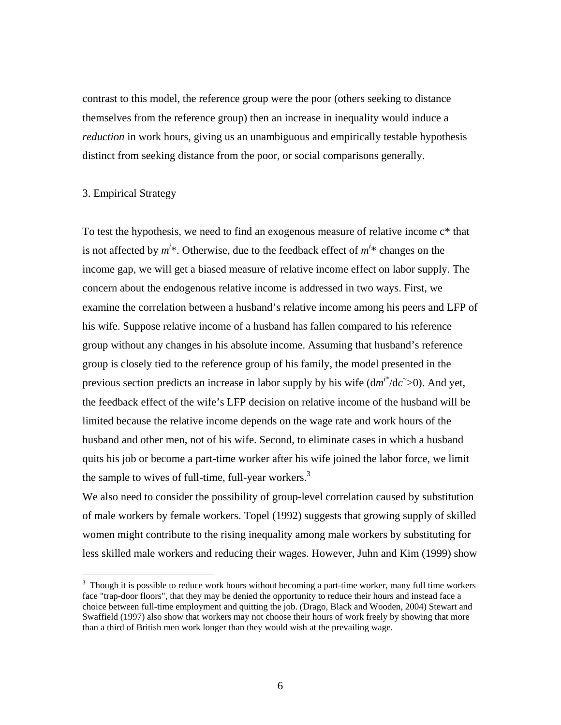contrast to this model, the reference group were the poor (others seeking to distance themselves from the reference group) then an increase in inequality would induce a *reduction* in work hours, giving us an unambiguous and empirically testable hypothesis distinct from seeking distance from the poor, or social comparisons generally.

#### 3. Empirical Strategy

1

To test the hypothesis, we need to find an exogenous measure of relative income c\* that is not affected by  $m^{i*}$ . Otherwise, due to the feedback effect of  $m^{i*}$  changes on the income gap, we will get a biased measure of relative income effect on labor supply. The concern about the endogenous relative income is addressed in two ways. First, we examine the correlation between a husband's relative income among his peers and LFP of his wife. Suppose relative income of a husband has fallen compared to his reference group without any changes in his absolute income. Assuming that husband's reference group is closely tied to the reference group of his family, the model presented in the previous section predicts an increase in labor supply by his wife  $(dm^{i*}/dc \tilde{\rightarrow} 0)$ . And yet, the feedback effect of the wife's LFP decision on relative income of the husband will be limited because the relative income depends on the wage rate and work hours of the husband and other men, not of his wife. Second, to eliminate cases in which a husband quits his job or become a part-time worker after his wife joined the labor force, we limit the sample to wives of full-time, full-year workers. $3$ 

We also need to consider the possibility of group-level correlation caused by substitution of male workers by female workers. Topel (1992) suggests that growing supply of skilled women might contribute to the rising inequality among male workers by substituting for less skilled male workers and reducing their wages. However, Juhn and Kim (1999) show

 $3$  Though it is possible to reduce work hours without becoming a part-time worker, many full time workers face "trap-door floors", that they may be denied the opportunity to reduce their hours and instead face a choice between full-time employment and quitting the job. (Drago, Black and Wooden, 2004) Stewart and Swaffield (1997) also show that workers may not choose their hours of work freely by showing that more than a third of British men work longer than they would wish at the prevailing wage.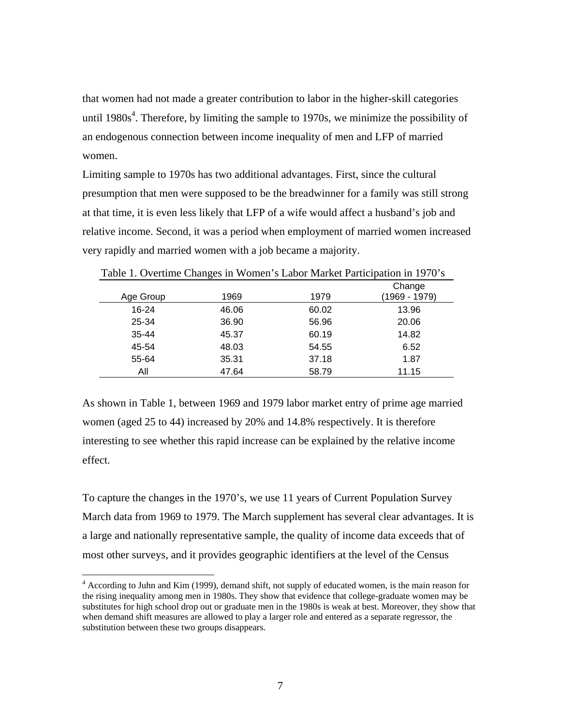that women had not made a greater contribution to labor in the higher-skill categories until 1980s<sup>4</sup>. Therefore, by limiting the sample to 1970s, we minimize the possibility of an endogenous connection between income inequality of men and LFP of married women.

Limiting sample to 1970s has two additional advantages. First, since the cultural presumption that men were supposed to be the breadwinner for a family was still strong at that time, it is even less likely that LFP of a wife would affect a husband's job and relative income. Second, it was a period when employment of married women increased very rapidly and married women with a job became a majority.

| Table 1. Overtime Changes in Women's Labor Market Participation in 1970's |       |       |                         |  |  |
|---------------------------------------------------------------------------|-------|-------|-------------------------|--|--|
| Age Group                                                                 | 1969  | 1979  | Change<br>(1969 - 1979) |  |  |
| 16-24                                                                     | 46.06 | 60.02 | 13.96                   |  |  |
| 25-34                                                                     | 36.90 | 56.96 | 20.06                   |  |  |
| $35 - 44$                                                                 | 45.37 | 60.19 | 14.82                   |  |  |
| 45-54                                                                     | 48.03 | 54.55 | 6.52                    |  |  |
| 55-64                                                                     | 35.31 | 37.18 | 1.87                    |  |  |
| All                                                                       | 47.64 | 58.79 | 11.15                   |  |  |

As shown in Table 1, between 1969 and 1979 labor market entry of prime age married women (aged 25 to 44) increased by 20% and 14.8% respectively. It is therefore interesting to see whether this rapid increase can be explained by the relative income effect.

To capture the changes in the 1970's, we use 11 years of Current Population Survey March data from 1969 to 1979. The March supplement has several clear advantages. It is a large and nationally representative sample, the quality of income data exceeds that of most other surveys, and it provides geographic identifiers at the level of the Census

 4 According to Juhn and Kim (1999), demand shift, not supply of educated women, is the main reason for the rising inequality among men in 1980s. They show that evidence that college-graduate women may be substitutes for high school drop out or graduate men in the 1980s is weak at best. Moreover, they show that when demand shift measures are allowed to play a larger role and entered as a separate regressor, the substitution between these two groups disappears.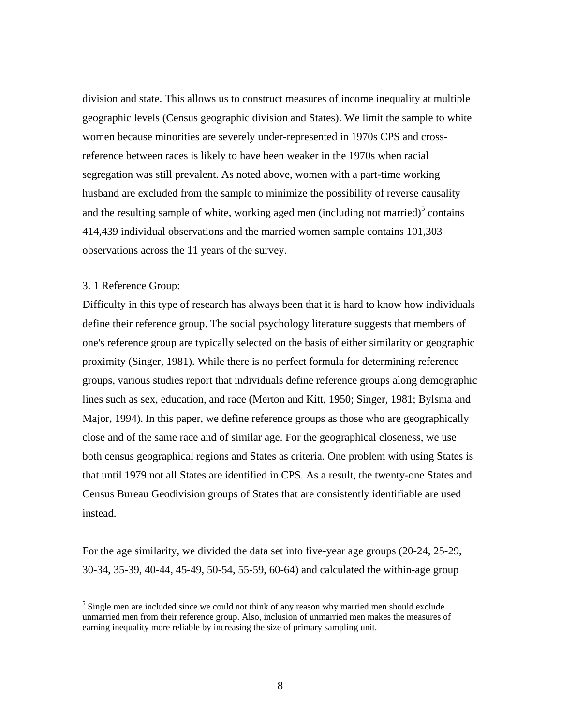division and state. This allows us to construct measures of income inequality at multiple geographic levels (Census geographic division and States). We limit the sample to white women because minorities are severely under-represented in 1970s CPS and crossreference between races is likely to have been weaker in the 1970s when racial segregation was still prevalent. As noted above, women with a part-time working husband are excluded from the sample to minimize the possibility of reverse causality and the resulting sample of white, working aged men (including not married) $5$  contains 414,439 individual observations and the married women sample contains 101,303 observations across the 11 years of the survey.

#### 3. 1 Reference Group:

 $\overline{a}$ 

Difficulty in this type of research has always been that it is hard to know how individuals define their reference group. The social psychology literature suggests that members of one's reference group are typically selected on the basis of either similarity or geographic proximity (Singer, 1981). While there is no perfect formula for determining reference groups, various studies report that individuals define reference groups along demographic lines such as sex, education, and race (Merton and Kitt, 1950; Singer, 1981; Bylsma and Major, 1994). In this paper, we define reference groups as those who are geographically close and of the same race and of similar age. For the geographical closeness, we use both census geographical regions and States as criteria. One problem with using States is that until 1979 not all States are identified in CPS. As a result, the twenty-one States and Census Bureau Geodivision groups of States that are consistently identifiable are used instead.

For the age similarity, we divided the data set into five-year age groups (20-24, 25-29, 30-34, 35-39, 40-44, 45-49, 50-54, 55-59, 60-64) and calculated the within-age group

 $<sup>5</sup>$  Single men are included since we could not think of any reason why married men should exclude</sup> unmarried men from their reference group. Also, inclusion of unmarried men makes the measures of earning inequality more reliable by increasing the size of primary sampling unit.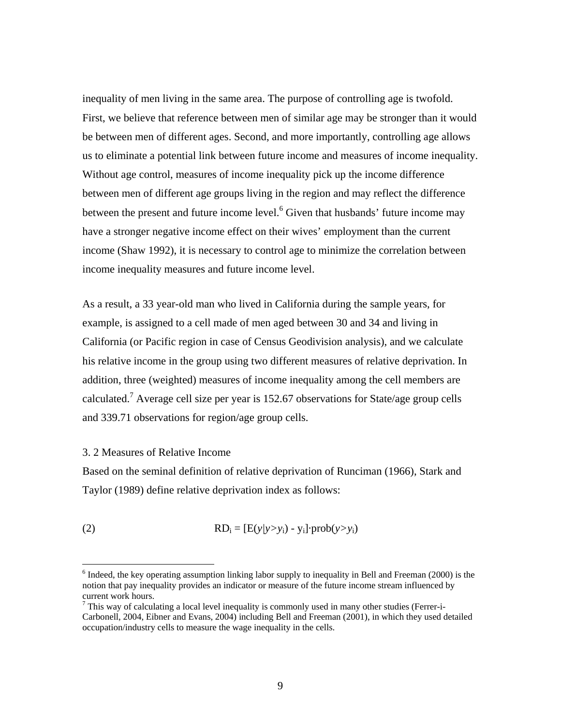inequality of men living in the same area. The purpose of controlling age is twofold. First, we believe that reference between men of similar age may be stronger than it would be between men of different ages. Second, and more importantly, controlling age allows us to eliminate a potential link between future income and measures of income inequality. Without age control, measures of income inequality pick up the income difference between men of different age groups living in the region and may reflect the difference between the present and future income level.<sup>6</sup> Given that husbands' future income may have a stronger negative income effect on their wives' employment than the current income (Shaw 1992), it is necessary to control age to minimize the correlation between income inequality measures and future income level.

As a result, a 33 year-old man who lived in California during the sample years, for example, is assigned to a cell made of men aged between 30 and 34 and living in California (or Pacific region in case of Census Geodivision analysis), and we calculate his relative income in the group using two different measures of relative deprivation. In addition, three (weighted) measures of income inequality among the cell members are calculated.<sup>7</sup> Average cell size per year is 152.67 observations for State/age group cells and 339.71 observations for region/age group cells.

#### 3. 2 Measures of Relative Income

<u>.</u>

Based on the seminal definition of relative deprivation of Runciman (1966), Stark and Taylor (1989) define relative deprivation index as follows:

(2) 
$$
RD_i = [E(y/y > y_i) - y_i] \cdot prob(y > y_i)
$$

 $6$  Indeed, the key operating assumption linking labor supply to inequality in Bell and Freeman (2000) is the notion that pay inequality provides an indicator or measure of the future income stream influenced by current work hours.

This way of calculating a local level inequality is commonly used in many other studies (Ferrer-i-Carbonell, 2004, Eibner and Evans, 2004) including Bell and Freeman (2001), in which they used detailed occupation/industry cells to measure the wage inequality in the cells.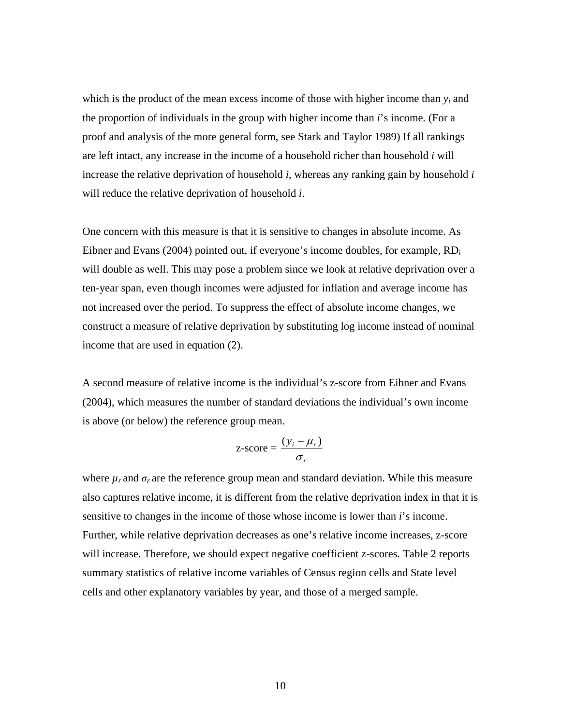which is the product of the mean excess income of those with higher income than  $y_i$  and the proportion of individuals in the group with higher income than *i*'s income*.* (For a proof and analysis of the more general form, see Stark and Taylor 1989) If all rankings are left intact, any increase in the income of a household richer than household *i* will increase the relative deprivation of household *i*, whereas any ranking gain by household *i* will reduce the relative deprivation of household *i*.

One concern with this measure is that it is sensitive to changes in absolute income. As Eibner and Evans (2004) pointed out, if everyone's income doubles, for example,  $RD_i$ will double as well. This may pose a problem since we look at relative deprivation over a ten-year span, even though incomes were adjusted for inflation and average income has not increased over the period. To suppress the effect of absolute income changes, we construct a measure of relative deprivation by substituting log income instead of nominal income that are used in equation (2).

A second measure of relative income is the individual's z-score from Eibner and Evans (2004), which measures the number of standard deviations the individual's own income is above (or below) the reference group mean.

$$
z\text{-score} = \frac{(y_i - \mu_r)}{\sigma_r}
$$

where  $\mu_r$  and  $\sigma_r$  are the reference group mean and standard deviation. While this measure also captures relative income, it is different from the relative deprivation index in that it is sensitive to changes in the income of those whose income is lower than *i*'s income. Further, while relative deprivation decreases as one's relative income increases, z-score will increase. Therefore, we should expect negative coefficient z-scores. Table 2 reports summary statistics of relative income variables of Census region cells and State level cells and other explanatory variables by year, and those of a merged sample.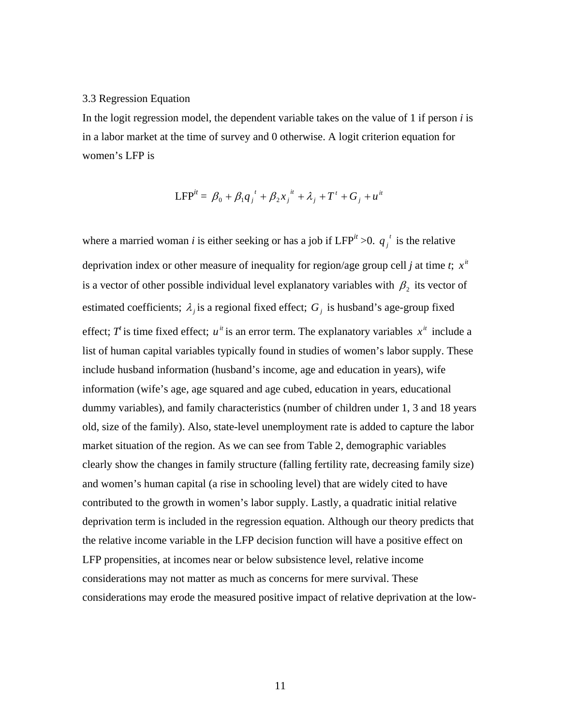#### 3.3 Regression Equation

In the logit regression model, the dependent variable takes on the value of 1 if person *i* is in a labor market at the time of survey and 0 otherwise. A logit criterion equation for women's LFP is

$$
LFP^{it} = \beta_0 + \beta_1 q_j^t + \beta_2 x_j^{it} + \lambda_j + T^t + G_j + u^{it}
$$

where a married woman *i* is either seeking or has a job if  $LFP^{it} > 0$ .  $q_i^t$  is the relative deprivation index or other measure of inequality for region/age group cell *j* at time *t*;  $x^i$ is a vector of other possible individual level explanatory variables with  $\beta_2$  its vector of estimated coefficients;  $\lambda_i$  is a regional fixed effect;  $G_i$  is husband's age-group fixed effect; *T*' is time fixed effect;  $u^{\mu}$  is an error term. The explanatory variables  $x^{\mu}$  include a list of human capital variables typically found in studies of women's labor supply. These include husband information (husband's income, age and education in years), wife information (wife's age, age squared and age cubed, education in years, educational dummy variables), and family characteristics (number of children under 1, 3 and 18 years old, size of the family). Also, state-level unemployment rate is added to capture the labor market situation of the region. As we can see from Table 2, demographic variables clearly show the changes in family structure (falling fertility rate, decreasing family size) and women's human capital (a rise in schooling level) that are widely cited to have contributed to the growth in women's labor supply. Lastly, a quadratic initial relative deprivation term is included in the regression equation. Although our theory predicts that the relative income variable in the LFP decision function will have a positive effect on LFP propensities, at incomes near or below subsistence level, relative income considerations may not matter as much as concerns for mere survival. These considerations may erode the measured positive impact of relative deprivation at the low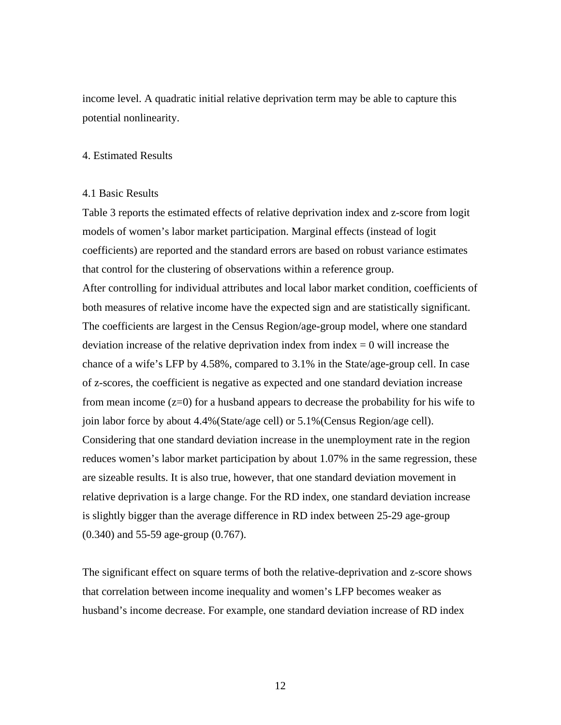income level. A quadratic initial relative deprivation term may be able to capture this potential nonlinearity.

#### 4. Estimated Results

#### 4.1 Basic Results

Table 3 reports the estimated effects of relative deprivation index and z-score from logit models of women's labor market participation. Marginal effects (instead of logit coefficients) are reported and the standard errors are based on robust variance estimates that control for the clustering of observations within a reference group. After controlling for individual attributes and local labor market condition, coefficients of both measures of relative income have the expected sign and are statistically significant. The coefficients are largest in the Census Region/age-group model, where one standard deviation increase of the relative deprivation index from index  $= 0$  will increase the chance of a wife's LFP by 4.58%, compared to 3.1% in the State/age-group cell. In case of z-scores, the coefficient is negative as expected and one standard deviation increase from mean income (z=0) for a husband appears to decrease the probability for his wife to join labor force by about 4.4%(State/age cell) or 5.1%(Census Region/age cell). Considering that one standard deviation increase in the unemployment rate in the region reduces women's labor market participation by about 1.07% in the same regression, these are sizeable results. It is also true, however, that one standard deviation movement in relative deprivation is a large change. For the RD index, one standard deviation increase is slightly bigger than the average difference in RD index between 25-29 age-group (0.340) and 55-59 age-group (0.767).

The significant effect on square terms of both the relative-deprivation and z-score shows that correlation between income inequality and women's LFP becomes weaker as husband's income decrease. For example, one standard deviation increase of RD index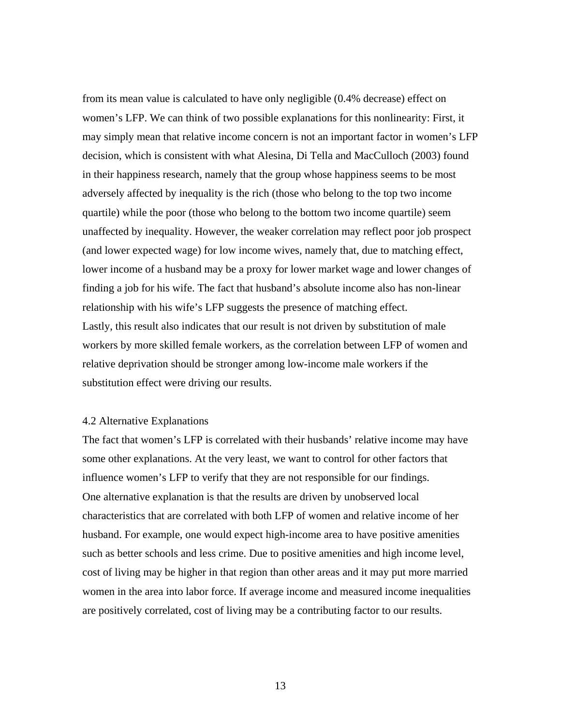from its mean value is calculated to have only negligible (0.4% decrease) effect on women's LFP. We can think of two possible explanations for this nonlinearity: First, it may simply mean that relative income concern is not an important factor in women's LFP decision, which is consistent with what Alesina, Di Tella and MacCulloch (2003) found in their happiness research, namely that the group whose happiness seems to be most adversely affected by inequality is the rich (those who belong to the top two income quartile) while the poor (those who belong to the bottom two income quartile) seem unaffected by inequality. However, the weaker correlation may reflect poor job prospect (and lower expected wage) for low income wives, namely that, due to matching effect, lower income of a husband may be a proxy for lower market wage and lower changes of finding a job for his wife. The fact that husband's absolute income also has non-linear relationship with his wife's LFP suggests the presence of matching effect. Lastly, this result also indicates that our result is not driven by substitution of male workers by more skilled female workers, as the correlation between LFP of women and relative deprivation should be stronger among low-income male workers if the substitution effect were driving our results.

#### 4.2 Alternative Explanations

The fact that women's LFP is correlated with their husbands' relative income may have some other explanations. At the very least, we want to control for other factors that influence women's LFP to verify that they are not responsible for our findings. One alternative explanation is that the results are driven by unobserved local characteristics that are correlated with both LFP of women and relative income of her husband. For example, one would expect high-income area to have positive amenities such as better schools and less crime. Due to positive amenities and high income level, cost of living may be higher in that region than other areas and it may put more married women in the area into labor force. If average income and measured income inequalities are positively correlated, cost of living may be a contributing factor to our results.

13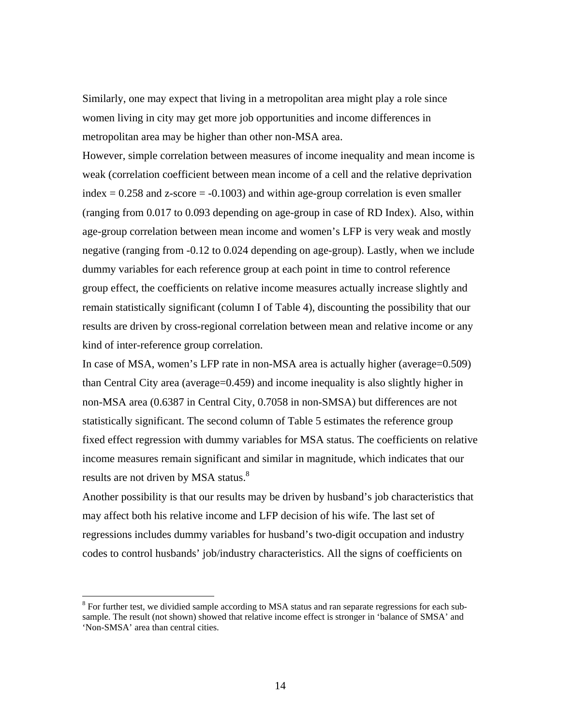Similarly, one may expect that living in a metropolitan area might play a role since women living in city may get more job opportunities and income differences in metropolitan area may be higher than other non-MSA area.

However, simple correlation between measures of income inequality and mean income is weak (correlation coefficient between mean income of a cell and the relative deprivation index  $= 0.258$  and z-score  $= -0.1003$ ) and within age-group correlation is even smaller (ranging from 0.017 to 0.093 depending on age-group in case of RD Index). Also, within age-group correlation between mean income and women's LFP is very weak and mostly negative (ranging from -0.12 to 0.024 depending on age-group). Lastly, when we include dummy variables for each reference group at each point in time to control reference group effect, the coefficients on relative income measures actually increase slightly and remain statistically significant (column I of Table 4), discounting the possibility that our results are driven by cross-regional correlation between mean and relative income or any kind of inter-reference group correlation.

In case of MSA, women's LFP rate in non-MSA area is actually higher (average=0.509) than Central City area (average=0.459) and income inequality is also slightly higher in non-MSA area (0.6387 in Central City, 0.7058 in non-SMSA) but differences are not statistically significant. The second column of Table 5 estimates the reference group fixed effect regression with dummy variables for MSA status. The coefficients on relative income measures remain significant and similar in magnitude, which indicates that our results are not driven by MSA status.<sup>8</sup>

Another possibility is that our results may be driven by husband's job characteristics that may affect both his relative income and LFP decision of his wife. The last set of regressions includes dummy variables for husband's two-digit occupation and industry codes to control husbands' job/industry characteristics. All the signs of coefficients on

 $\overline{a}$ 

 $8$  For further test, we dividied sample according to MSA status and ran separate regressions for each subsample. The result (not shown) showed that relative income effect is stronger in 'balance of SMSA' and 'Non-SMSA' area than central cities.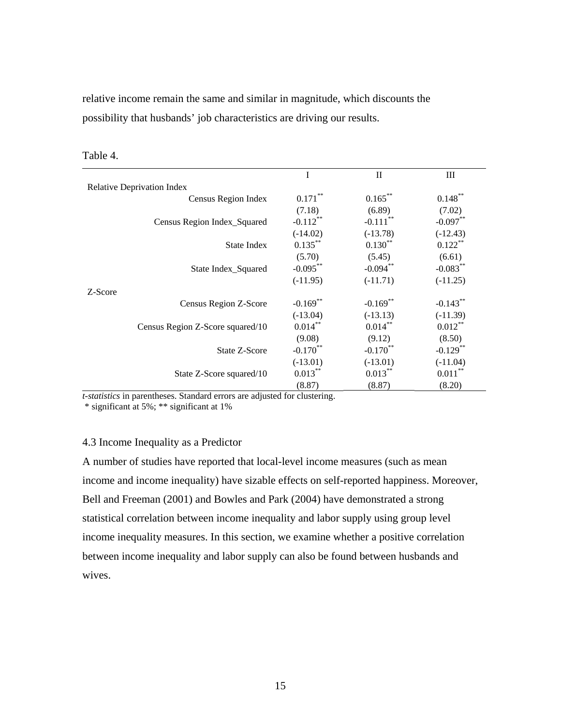relative income remain the same and similar in magnitude, which discounts the possibility that husbands' job characteristics are driving our results.

|                                   | I                      | $\mathbf{I}$           | Ш           |  |  |  |
|-----------------------------------|------------------------|------------------------|-------------|--|--|--|
| <b>Relative Deprivation Index</b> |                        |                        |             |  |  |  |
| Census Region Index               | $0.171***$             | $0.165***$             | $0.148***$  |  |  |  |
|                                   | (7.18)                 | (6.89)                 | (7.02)      |  |  |  |
| Census Region Index_Squared       | $-0.112***$            | $-0.111$ <sup>**</sup> | $-0.097**$  |  |  |  |
|                                   | $(-14.02)$             | $(-13.78)$             | $(-12.43)$  |  |  |  |
| <b>State Index</b>                | $0.135***$             | $0.130***$             | $0.122***$  |  |  |  |
|                                   | (5.70)                 | (5.45)                 | (6.61)      |  |  |  |
| State Index_Squared               | $-0.095***$            | $-0.094***$            | $-0.083***$ |  |  |  |
|                                   | $(-11.95)$             | $(-11.71)$             | $(-11.25)$  |  |  |  |
| Z-Score                           |                        |                        |             |  |  |  |
| Census Region Z-Score             | $-0.169$ <sup>**</sup> | $-0.169**$             | $-0.143**$  |  |  |  |
|                                   | $(-13.04)$             | $(-13.13)$             | $(-11.39)$  |  |  |  |
| Census Region Z-Score squared/10  | $0.014***$             | $0.014***$             | $0.012***$  |  |  |  |
|                                   | (9.08)                 | (9.12)                 | (8.50)      |  |  |  |
| State Z-Score                     | $-0.170$ **            | $-0.170$ **            | $-0.129$ ** |  |  |  |
|                                   | $(-13.01)$             | $(-13.01)$             | $(-11.04)$  |  |  |  |
| State Z-Score squared/10          | $0.013***$             | $0.013***$             | $0.011***$  |  |  |  |
|                                   | (8.87)                 | (8.87)                 | (8.20)      |  |  |  |

Table 4.

*t-statistics* in parentheses. Standard errors are adjusted for clustering.

\* significant at 5%; \*\* significant at 1%

#### 4.3 Income Inequality as a Predictor

A number of studies have reported that local-level income measures (such as mean income and income inequality) have sizable effects on self-reported happiness. Moreover, Bell and Freeman (2001) and Bowles and Park (2004) have demonstrated a strong statistical correlation between income inequality and labor supply using group level income inequality measures. In this section, we examine whether a positive correlation between income inequality and labor supply can also be found between husbands and wives.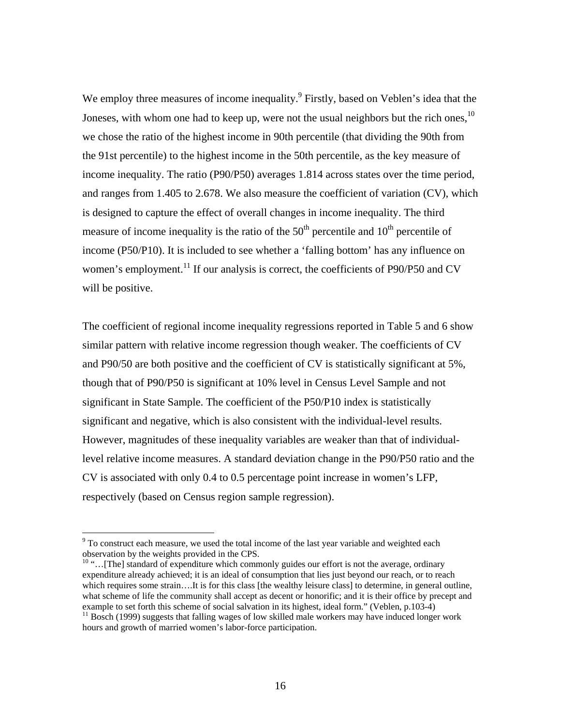We employ three measures of income inequality.<sup>9</sup> Firstly, based on Veblen's idea that the Joneses, with whom one had to keep up, were not the usual neighbors but the rich ones,<sup>10</sup> we chose the ratio of the highest income in 90th percentile (that dividing the 90th from the 91st percentile) to the highest income in the 50th percentile, as the key measure of income inequality. The ratio (P90/P50) averages 1.814 across states over the time period, and ranges from 1.405 to 2.678. We also measure the coefficient of variation (CV), which is designed to capture the effect of overall changes in income inequality. The third measure of income inequality is the ratio of the  $50<sup>th</sup>$  percentile and  $10<sup>th</sup>$  percentile of income (P50/P10). It is included to see whether a 'falling bottom' has any influence on women's employment.<sup>11</sup> If our analysis is correct, the coefficients of P90/P50 and CV will be positive.

The coefficient of regional income inequality regressions reported in Table 5 and 6 show similar pattern with relative income regression though weaker. The coefficients of CV and P90/50 are both positive and the coefficient of CV is statistically significant at 5%, though that of P90/P50 is significant at 10% level in Census Level Sample and not significant in State Sample. The coefficient of the P50/P10 index is statistically significant and negative, which is also consistent with the individual-level results. However, magnitudes of these inequality variables are weaker than that of individuallevel relative income measures. A standard deviation change in the P90/P50 ratio and the CV is associated with only 0.4 to 0.5 percentage point increase in women's LFP, respectively (based on Census region sample regression).

 $\overline{a}$ 

 $9^9$  To construct each measure, we used the total income of the last year variable and weighted each observation by the weights provided in the CPS.

<sup>&</sup>lt;sup>10</sup> "...[The] standard of expenditure which commonly guides our effort is not the average, ordinary expenditure already achieved; it is an ideal of consumption that lies just beyond our reach, or to reach which requires some strain….It is for this class [the wealthy leisure class] to determine, in general outline, what scheme of life the community shall accept as decent or honorific; and it is their office by precept and example to set forth this scheme of social salvation in its highest, ideal form." (Veblen, p.103-4)

 $11$  Bosch (1999) suggests that falling wages of low skilled male workers may have induced longer work hours and growth of married women's labor-force participation.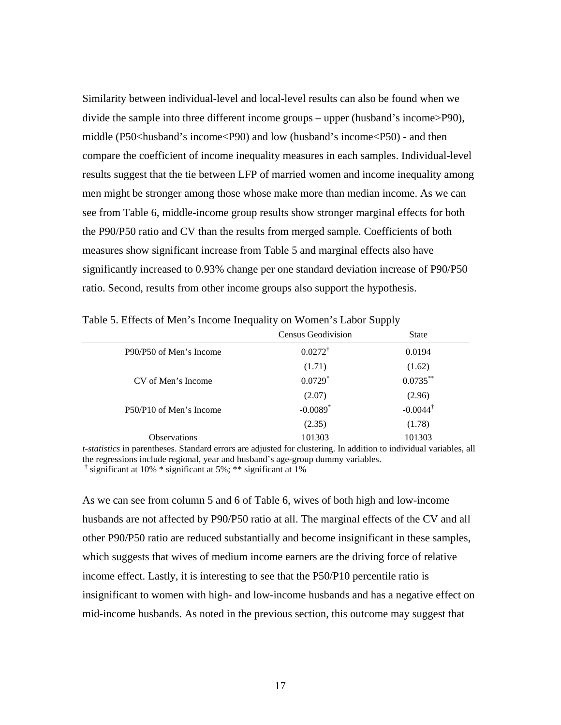Similarity between individual-level and local-level results can also be found when we divide the sample into three different income groups – upper (husband's income>P90), middle ( $P50$  husband's income ( $P90$ ) and low (husband's income ( $P50$ ) - and then compare the coefficient of income inequality measures in each samples. Individual-level results suggest that the tie between LFP of married women and income inequality among men might be stronger among those whose make more than median income. As we can see from Table 6, middle-income group results show stronger marginal effects for both the P90/P50 ratio and CV than the results from merged sample. Coefficients of both measures show significant increase from Table 5 and marginal effects also have significantly increased to 0.93% change per one standard deviation increase of P90/P50 ratio. Second, results from other income groups also support the hypothesis.

|                         | Census Geodivision     | State               |
|-------------------------|------------------------|---------------------|
| P90/P50 of Men's Income | $0.0272^{\dagger}$     | 0.0194              |
|                         | (1.71)                 | (1.62)              |
| CV of Men's Income      | $0.0729$ *             | $0.0735***$         |
|                         | (2.07)                 | (2.96)              |
| P50/P10 of Men's Income | $-0.0089$ <sup>*</sup> | $-0.0044^{\dagger}$ |
|                         | (2.35)                 | (1.78)              |
| <b>Observations</b>     | 101303                 | 101303              |

Table 5. Effects of Men's Income Inequality on Women's Labor Supply

*t-statistics* in parentheses. Standard errors are adjusted for clustering. In addition to individual variables, all the regressions include regional, year and husband's age-group dummy variables.

† significant at 10% \* significant at 5%; \*\* significant at 1%

As we can see from column 5 and 6 of Table 6, wives of both high and low-income husbands are not affected by P90/P50 ratio at all. The marginal effects of the CV and all other P90/P50 ratio are reduced substantially and become insignificant in these samples, which suggests that wives of medium income earners are the driving force of relative income effect. Lastly, it is interesting to see that the P50/P10 percentile ratio is insignificant to women with high- and low-income husbands and has a negative effect on mid-income husbands. As noted in the previous section, this outcome may suggest that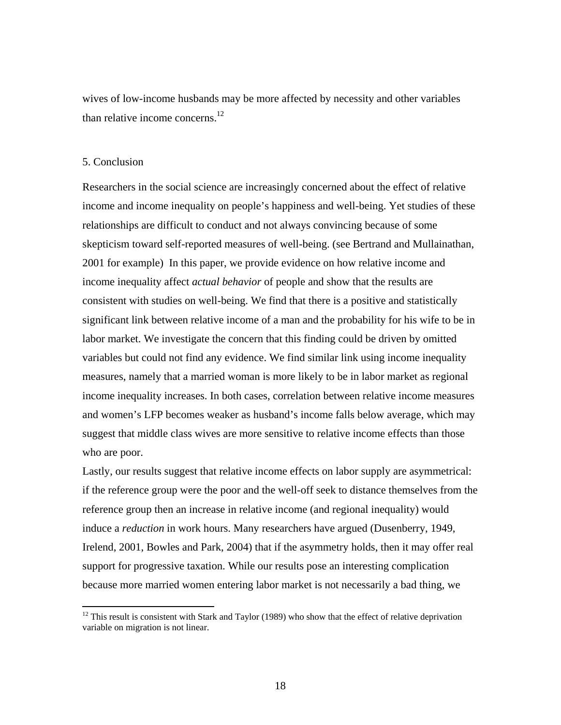wives of low-income husbands may be more affected by necessity and other variables than relative income concerns.<sup>12</sup>

#### 5. Conclusion

1

Researchers in the social science are increasingly concerned about the effect of relative income and income inequality on people's happiness and well-being. Yet studies of these relationships are difficult to conduct and not always convincing because of some skepticism toward self-reported measures of well-being. (see Bertrand and Mullainathan, 2001 for example) In this paper, we provide evidence on how relative income and income inequality affect *actual behavior* of people and show that the results are consistent with studies on well-being. We find that there is a positive and statistically significant link between relative income of a man and the probability for his wife to be in labor market. We investigate the concern that this finding could be driven by omitted variables but could not find any evidence. We find similar link using income inequality measures, namely that a married woman is more likely to be in labor market as regional income inequality increases. In both cases, correlation between relative income measures and women's LFP becomes weaker as husband's income falls below average, which may suggest that middle class wives are more sensitive to relative income effects than those who are poor.

Lastly, our results suggest that relative income effects on labor supply are asymmetrical: if the reference group were the poor and the well-off seek to distance themselves from the reference group then an increase in relative income (and regional inequality) would induce a *reduction* in work hours. Many researchers have argued (Dusenberry, 1949, Irelend, 2001, Bowles and Park, 2004) that if the asymmetry holds, then it may offer real support for progressive taxation. While our results pose an interesting complication because more married women entering labor market is not necessarily a bad thing, we

 $12$  This result is consistent with Stark and Taylor (1989) who show that the effect of relative deprivation variable on migration is not linear.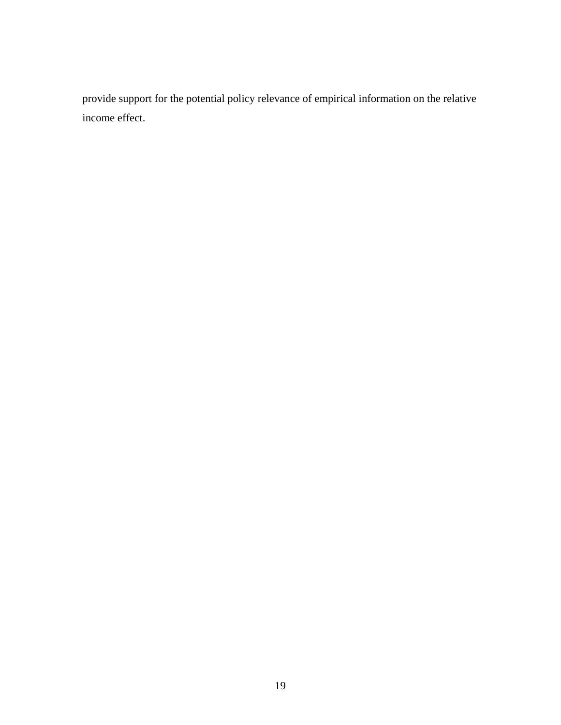provide support for the potential policy relevance of empirical information on the relative income effect.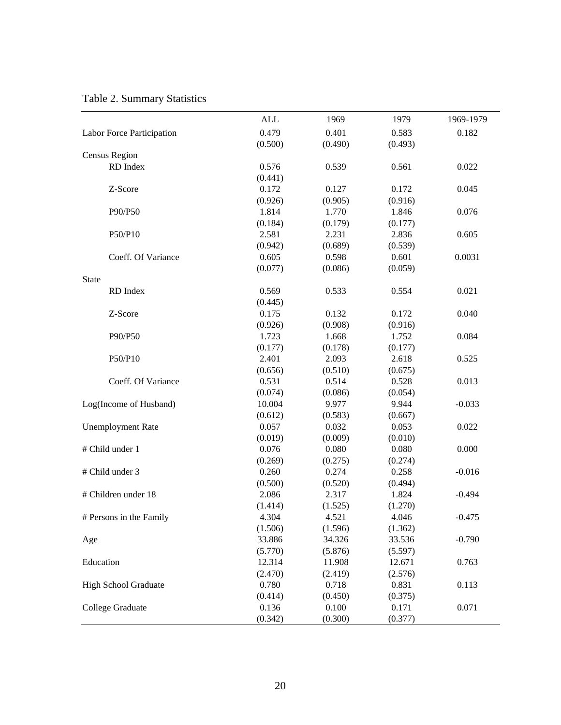|              |                             | <b>ALL</b> | 1969    | 1979    | 1969-1979 |
|--------------|-----------------------------|------------|---------|---------|-----------|
|              | Labor Force Participation   | 0.479      | 0.401   | 0.583   | 0.182     |
|              |                             | (0.500)    | (0.490) | (0.493) |           |
|              | Census Region               |            |         |         |           |
|              | RD Index                    | 0.576      | 0.539   | 0.561   | 0.022     |
|              |                             | (0.441)    |         |         |           |
|              | Z-Score                     | 0.172      | 0.127   | 0.172   | 0.045     |
|              |                             | (0.926)    | (0.905) | (0.916) |           |
|              | P90/P50                     | 1.814      | 1.770   | 1.846   | 0.076     |
|              |                             | (0.184)    | (0.179) | (0.177) |           |
|              | P50/P10                     | 2.581      | 2.231   | 2.836   | 0.605     |
|              |                             | (0.942)    | (0.689) | (0.539) |           |
|              | Coeff. Of Variance          | 0.605      | 0.598   | 0.601   | 0.0031    |
|              |                             | (0.077)    | (0.086) | (0.059) |           |
| <b>State</b> |                             |            |         |         |           |
|              | RD Index                    | 0.569      | 0.533   | 0.554   | 0.021     |
|              |                             | (0.445)    |         |         |           |
|              | Z-Score                     | 0.175      | 0.132   | 0.172   | 0.040     |
|              |                             | (0.926)    | (0.908) | (0.916) |           |
|              | P90/P50                     | 1.723      | 1.668   | 1.752   | 0.084     |
|              |                             | (0.177)    | (0.178) | (0.177) |           |
|              | P50/P10                     | 2.401      | 2.093   | 2.618   | 0.525     |
|              |                             | (0.656)    | (0.510) | (0.675) |           |
|              | Coeff. Of Variance          | 0.531      | 0.514   | 0.528   | 0.013     |
|              |                             | (0.074)    | (0.086) | (0.054) |           |
|              | Log(Income of Husband)      | 10.004     | 9.977   | 9.944   | $-0.033$  |
|              |                             | (0.612)    | (0.583) | (0.667) |           |
|              | <b>Unemployment Rate</b>    | 0.057      | 0.032   | 0.053   | 0.022     |
|              |                             | (0.019)    | (0.009) | (0.010) |           |
|              | # Child under 1             | 0.076      | 0.080   | 0.080   | 0.000     |
|              |                             | (0.269)    | (0.275) | (0.274) |           |
|              | # Child under 3             | 0.260      | 0.274   | 0.258   | $-0.016$  |
|              |                             | (0.500)    | (0.520) | (0.494) |           |
|              | # Children under 18         | 2.086      | 2.317   | 1.824   | $-0.494$  |
|              |                             | (1.414)    | (1.525) | (1.270) |           |
|              | # Persons in the Family     | 4.304      | 4.521   | 4.046   | $-0.475$  |
|              |                             | (1.506)    | (1.596) | (1.362) |           |
| Age          |                             | 33.886     | 34.326  | 33.536  | $-0.790$  |
|              |                             | (5.770)    | (5.876) | (5.597) |           |
| Education    |                             | 12.314     | 11.908  | 12.671  | 0.763     |
|              |                             | (2.470)    | (2.419) | (2.576) |           |
|              | <b>High School Graduate</b> | 0.780      | 0.718   | 0.831   | 0.113     |
|              |                             | (0.414)    | (0.450) | (0.375) |           |
|              | College Graduate            | 0.136      | 0.100   | 0.171   | 0.071     |
|              |                             | (0.342)    | (0.300) | (0.377) |           |

### Table 2. Summary Statistics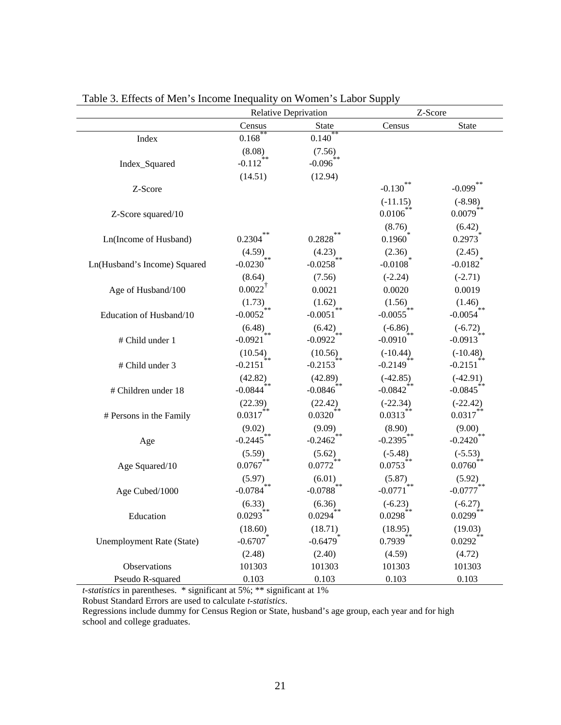|                              | <b>Relative Deprivation</b>       |                                   |                                   | Z-Score                 |  |
|------------------------------|-----------------------------------|-----------------------------------|-----------------------------------|-------------------------|--|
|                              | Census                            | <b>State</b>                      | Census                            | <b>State</b>            |  |
| Index                        | $0.168$ <sup>*</sup>              | 0.140                             |                                   |                         |  |
|                              | (8.08)                            | (7.56)                            |                                   |                         |  |
| Index_Squared                | $-0.112$ <sup>**</sup>            | $-0.096$                          |                                   |                         |  |
|                              | (14.51)                           | (12.94)                           |                                   |                         |  |
| Z-Score                      |                                   |                                   | $-0.130$                          | $-0.099$                |  |
|                              |                                   |                                   | $(-11.15)$                        | $(-8.98)$               |  |
| Z-Score squared/10           |                                   |                                   | 0.0106                            | $0.0079$ <sup>*</sup>   |  |
|                              |                                   |                                   | $(8.76)$<br>0.1960 <sup>*</sup>   | (6.42)                  |  |
| Ln(Income of Husband)        | 0.2304                            | 0.2828                            |                                   | 0.2973                  |  |
|                              | $(4.59)$<br>-0.0230 <sup>**</sup> | $(4.23)_{**}$                     | (2.36)                            | (2.45)                  |  |
| Ln(Husband's Income) Squared |                                   | $-0.0258$                         | $-0.0108$ <sup>*</sup>            | $-0.0182$ <sup>*</sup>  |  |
|                              | (8.64)                            | (7.56)                            | $(-2.24)$                         | $(-2.71)$               |  |
| Age of Husband/100           | $0.0022^{\dagger}$                | 0.0021                            | 0.0020                            | 0.0019                  |  |
|                              | $(1.73)$<br>-0.0052 <sup>**</sup> | $(1.62)$<br>-0.0051 <sup>**</sup> | $(1.56)$<br>-0.0055 <sup>**</sup> | $(1.46)$ <sub>**</sub>  |  |
| Education of Husband/10      |                                   |                                   |                                   | $-0.0054$               |  |
|                              | (6.48)<br>$\ast$ $\ast$           | $(6.42)_{**}$                     | $(-6.86)$<br>冰冰                   | $(-6.72)$               |  |
| # Child under 1              | $-0.0921$                         | $-0.0922$                         | $-0.0910^{*}$                     | $-0.0913$               |  |
|                              | (10.54)<br>ýk:≭                   | (10.56)                           | $(-10.44)$                        | $(-10.48)$              |  |
| # Child under 3              | $-0.2151$                         | $-0.2153$ <sup>*</sup>            | $-0.2149$ <sup>*</sup>            | $-0.2151$               |  |
|                              | (42.82)                           | (42.89)                           | $(-42.85)$                        | $(-42.91)$              |  |
| # Children under 18          | $-0.0844$ <sup>**</sup>           | $-0.0846^{4*}$                    | $-0.0842$ <sup>**</sup>           | $-0.0845$ <sup>**</sup> |  |
|                              | (22.39)<br>**                     | (22.42)<br>**                     | $(-22.34)$                        | $(-22.42)$              |  |
| # Persons in the Family      | 0.0317                            | 0.0320                            | 0.0313                            | 0.0317                  |  |
|                              | (9.02)                            | $(9.09)$ <sub>**</sub>            | $(8.90)$<br>-0.2395 <sup>**</sup> | $(9.00)$ <sub>**</sub>  |  |
| Age                          | $-0.2445$ <sup>**</sup>           | $-0.2462$ <sup>*</sup>            |                                   | $-0.2420$               |  |
|                              | (5.59)                            | (5.62)                            | $(-5.48)$                         | $(-5.53)$               |  |
| Age Squared/10               | $0.0767^{**}$                     | $0.0772^{4*}$                     | $0.0753$ **                       | $0.0760^{*}$            |  |
|                              | $(5.97)_{**}$                     | $(6.01)$<br>-0.0788 <sup>**</sup> | $(5.87)$ <sub>**</sub>            | $(5.92)_{**}$           |  |
| Age Cubed/1000               | $-0.0784$                         |                                   | $-0.0771$                         | $-0.0777$               |  |
|                              | (6.33)<br>$**$                    | (6.36)<br>$\ast$ $\ast$           | $(-6.23)$<br>**                   | $(-6.27)$<br>采水         |  |
| Education                    | 0.0293                            | 0.0294                            | 0.0298                            | 0.0299                  |  |
|                              | (18.60)                           | (18.71)                           | (18.95)                           | (19.03)                 |  |
| Unemployment Rate (State)    | $-0.6707$                         | $-0.6479$ <sup>*</sup>            | $0.7939$ <sup>**</sup>            | $0.0292$ <sup>**</sup>  |  |
|                              | (2.48)                            | (2.40)                            | (4.59)                            | (4.72)                  |  |
| Observations                 | 101303                            | 101303                            | 101303                            | 101303                  |  |
| Pseudo R-squared             | 0.103                             | 0.103                             | 0.103                             | 0.103                   |  |

Table 3. Effects of Men's Income Inequality on Women's Labor Supply

*t-statistics* in parentheses. \* significant at 5%; \*\* significant at 1%

Robust Standard Errors are used to calculate *t-statistics*.

Regressions include dummy for Census Region or State, husband's age group, each year and for high school and college graduates.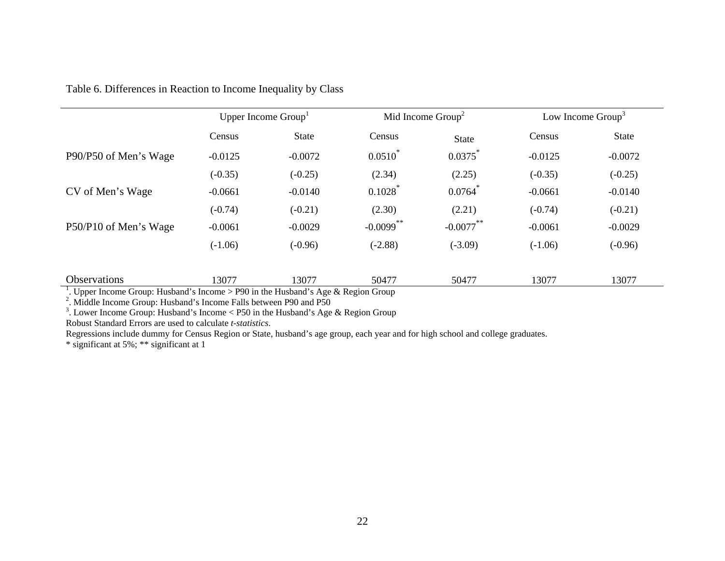| Table 6. Differences in Reaction to Income Inequality by Class |  |
|----------------------------------------------------------------|--|
|----------------------------------------------------------------|--|

|                                                                                                                 |           | Upper Income Group <sup>1</sup> |              | Mid Income $Group2$ |           | Low Income $Group3$ |  |
|-----------------------------------------------------------------------------------------------------------------|-----------|---------------------------------|--------------|---------------------|-----------|---------------------|--|
|                                                                                                                 | Census    | <b>State</b>                    | Census       | <b>State</b>        | Census    | <b>State</b>        |  |
| P90/P50 of Men's Wage                                                                                           | $-0.0125$ | $-0.0072$                       | $0.0510^{*}$ | 0.0375              | $-0.0125$ | $-0.0072$           |  |
|                                                                                                                 | $(-0.35)$ | $(-0.25)$                       | (2.34)       | (2.25)              | $(-0.35)$ | $(-0.25)$           |  |
| CV of Men's Wage                                                                                                | $-0.0661$ | $-0.0140$                       | 0.1028       | 0.0764              | $-0.0661$ | $-0.0140$           |  |
|                                                                                                                 | $(-0.74)$ | $(-0.21)$                       | (2.30)       | (2.21)              | $(-0.74)$ | $(-0.21)$           |  |
| P50/P10 of Men's Wage                                                                                           | $-0.0061$ | $-0.0029$                       | $-0.0099$ ** | $-0.0077$ **        | $-0.0061$ | $-0.0029$           |  |
|                                                                                                                 | $(-1.06)$ | $(-0.96)$                       | $(-2.88)$    | $(-3.09)$           | $(-1.06)$ | $(-0.96)$           |  |
| Observations<br><sup>1</sup> Unner Income Crown Uncher d'e Income > $D(0)$ in the Uncher d'e Age & Decien Crown | 13077     | 13077                           | 50477        | 50477               | 13077     | 13077               |  |

<sup>1</sup>. Upper Income Group: Husband's Income > P90 in the Husband's Age & Region Group

 $2^2$ . Middle Income Group: Husband's Income Falls between P90 and P50

<sup>3</sup>. Lower Income Group: Husband's Income < P50 in the Husband's Age & Region Group

Robust Standard Errors are used to calculate *t-statistics*.

Regressions include dummy for Census Region or State, husband's age group, each year and for high school and college graduates.

\* significant at 5%; \*\* significant at 1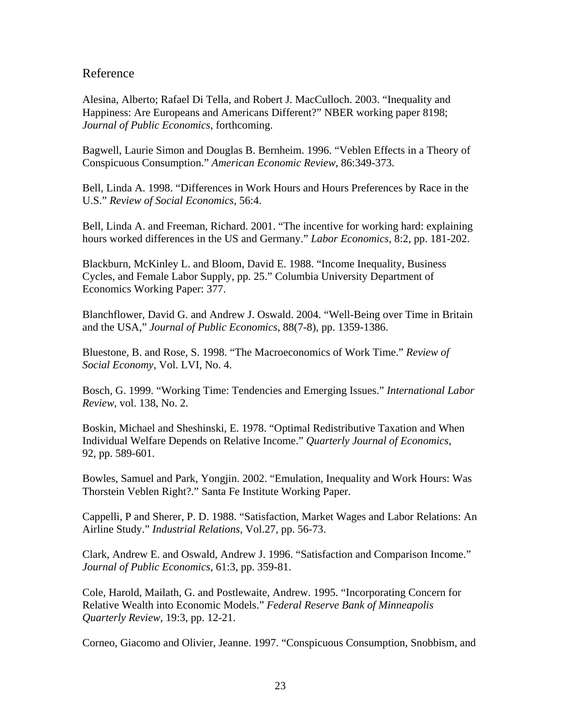#### Reference

Alesina, Alberto; Rafael Di Tella, and Robert J. MacCulloch. 2003. "Inequality and Happiness: Are Europeans and Americans Different?" NBER working paper 8198; *Journal of Public Economics*, forthcoming.

Bagwell, Laurie Simon and Douglas B. Bernheim. 1996. "Veblen Effects in a Theory of Conspicuous Consumption." *American Economic Review*, 86:349-373.

Bell, Linda A. 1998. "Differences in Work Hours and Hours Preferences by Race in the U.S." *Review of Social Economics*, 56:4.

Bell, Linda A. and Freeman, Richard. 2001. "The incentive for working hard: explaining hours worked differences in the US and Germany." *Labor Economics*, 8:2, pp. 181-202.

Blackburn, McKinley L. and Bloom, David E. 1988. "Income Inequality, Business Cycles, and Female Labor Supply, pp. 25." Columbia University Department of Economics Working Paper: 377.

Blanchflower, David G. and Andrew J. Oswald. 2004. "Well-Being over Time in Britain and the USA," *Journal of Public Economics*, 88(7-8), pp. 1359-1386.

Bluestone, B. and Rose, S. 1998. "The Macroeconomics of Work Time." *Review of Social Economy*, Vol. LVI, No. 4.

Bosch, G. 1999. "Working Time: Tendencies and Emerging Issues." *International Labor Review*, vol. 138, No. 2.

Boskin, Michael and Sheshinski, E. 1978. "Optimal Redistributive Taxation and When Individual Welfare Depends on Relative Income." *Quarterly Journal of Economics*, 92, pp. 589-601.

Bowles, Samuel and Park, Yongjin. 2002. "Emulation, Inequality and Work Hours: Was Thorstein Veblen Right?." Santa Fe Institute Working Paper.

Cappelli, P and Sherer, P. D. 1988. "Satisfaction, Market Wages and Labor Relations: An Airline Study." *Industrial Relations*, Vol.27, pp. 56-73.

Clark, Andrew E. and Oswald, Andrew J. 1996. "Satisfaction and Comparison Income." *Journal of Public Economics*, 61:3, pp. 359-81.

Cole, Harold, Mailath, G. and Postlewaite, Andrew. 1995. "Incorporating Concern for Relative Wealth into Economic Models." *Federal Reserve Bank of Minneapolis Quarterly Review*, 19:3, pp. 12-21.

Corneo, Giacomo and Olivier, Jeanne. 1997. "Conspicuous Consumption, Snobbism, and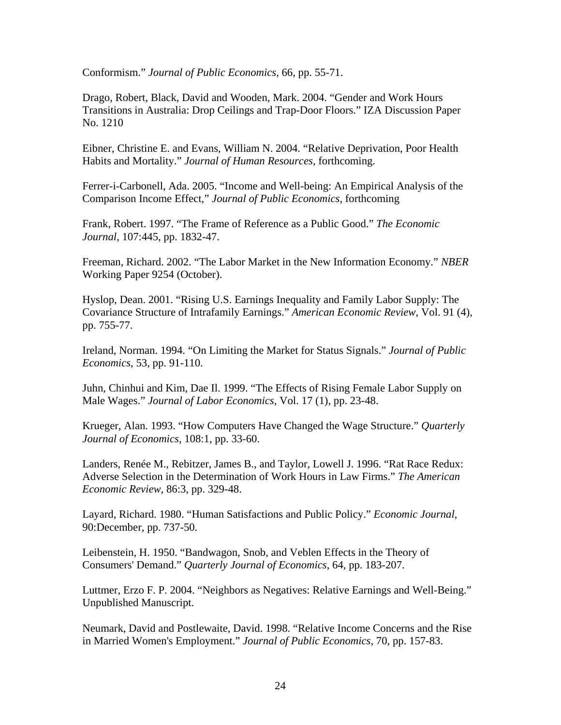Conformism." *Journal of Public Economics*, 66, pp. 55-71.

Drago, Robert, Black, David and Wooden, Mark. 2004. "Gender and Work Hours Transitions in Australia: Drop Ceilings and Trap-Door Floors." IZA Discussion Paper No. 1210

Eibner, Christine E. and Evans, William N. 2004. "Relative Deprivation, Poor Health Habits and Mortality." *Journal of Human Resources*, forthcoming.

Ferrer-i-Carbonell, Ada. 2005. "Income and Well-being: An Empirical Analysis of the Comparison Income Effect," *Journal of Public Economics*, forthcoming

Frank, Robert. 1997. "The Frame of Reference as a Public Good." *The Economic Journal*, 107:445, pp. 1832-47.

Freeman, Richard. 2002. "The Labor Market in the New Information Economy." *NBER*  Working Paper 9254 (October).

Hyslop, Dean. 2001. "Rising U.S. Earnings Inequality and Family Labor Supply: The Covariance Structure of Intrafamily Earnings." *American Economic Review*, Vol. 91 (4), pp. 755-77.

Ireland, Norman. 1994. "On Limiting the Market for Status Signals." *Journal of Public Economics*, 53, pp. 91-110.

Juhn, Chinhui and Kim, Dae Il. 1999. "The Effects of Rising Female Labor Supply on Male Wages." *Journal of Labor Economics*, Vol. 17 (1), pp. 23-48.

Krueger, Alan. 1993. "How Computers Have Changed the Wage Structure." *Quarterly Journal of Economics*, 108:1, pp. 33-60.

Landers, Renée M., Rebitzer, James B., and Taylor, Lowell J. 1996. "Rat Race Redux: Adverse Selection in the Determination of Work Hours in Law Firms." *The American Economic Review*, 86:3, pp. 329-48.

Layard, Richard. 1980. "Human Satisfactions and Public Policy." *Economic Journal*, 90:December, pp. 737-50.

Leibenstein, H. 1950. "Bandwagon, Snob, and Veblen Effects in the Theory of Consumers' Demand." *Quarterly Journal of Economics*, 64, pp. 183-207.

Luttmer, Erzo F. P. 2004. "Neighbors as Negatives: Relative Earnings and Well-Being." Unpublished Manuscript.

Neumark, David and Postlewaite, David. 1998. "Relative Income Concerns and the Rise in Married Women's Employment." *Journal of Public Economics*, 70, pp. 157-83.